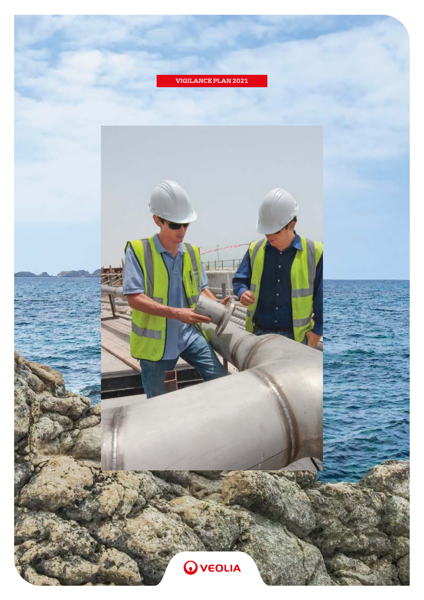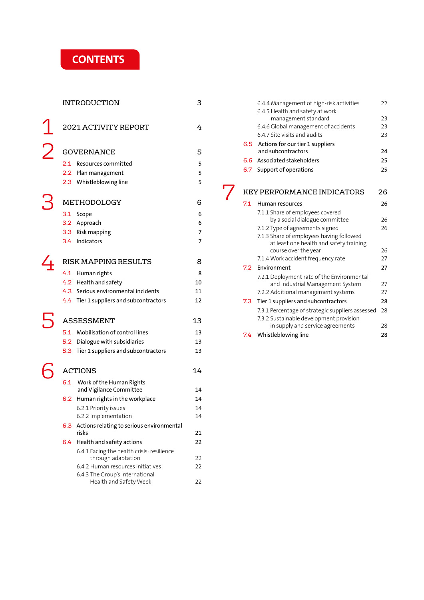# **CONTENTS**

|                          |     | <b>INTRODUCTION</b>                                              | З  |
|--------------------------|-----|------------------------------------------------------------------|----|
|                          |     | 2021 ACTIVITY REPORT                                             | 4  |
| $\overline{\mathcal{L}}$ |     | <b>GOVERNANCE</b>                                                | 5  |
|                          |     | 2.1 Resources committed                                          | 5  |
|                          |     | 2.2 Plan management                                              | 5  |
|                          |     | 2.3 Whistleblowing line                                          | 5  |
|                          |     |                                                                  |    |
|                          |     | METHODOLOGY                                                      | 6  |
|                          |     | 3.1 Scope                                                        | 6  |
|                          |     | 3.2 Approach                                                     | 6  |
|                          |     | 3.3 Risk mapping                                                 | 7  |
|                          |     | 3.4 Indicators                                                   | 7  |
|                          |     | RISK MAPPING RESULTS                                             | 8  |
|                          |     | 4.1 Human rights                                                 | 8  |
|                          |     | 4.2 Health and safety                                            | 10 |
|                          |     | 4.3 Serious environmental incidents                              | 11 |
|                          |     | 4.4 Tier 1 suppliers and subcontractors                          | 12 |
|                          |     |                                                                  |    |
|                          |     | <b>ASSESSMENT</b>                                                | 13 |
|                          |     | 5.1 Mobilisation of control lines                                | 13 |
|                          |     | 5.2 Dialogue with subsidiaries                                   | 13 |
|                          |     | 5.3 Tier 1 suppliers and subcontractors                          | 13 |
|                          |     | <b>ACTIONS</b>                                                   | 14 |
|                          |     |                                                                  |    |
|                          |     | 6.1 Work of the Human Rights<br>and Vigilance Committee          | 14 |
|                          |     | 6.2 Human rights in the workplace                                | 14 |
|                          |     | 6.2.1 Priority issues                                            | 14 |
|                          |     | 6.2.2 Implementation                                             | 14 |
|                          | 6.3 | Actions relating to serious environmental<br>risks               | 21 |
|                          | 6.4 | Health and safety actions                                        | 22 |
|                          |     | 6.4.1 Facing the health crisis: resilience<br>through adaptation | 22 |
|                          |     | 6.4.2 Human resources initiatives                                | 22 |
|                          |     | 6.4.3 The Group's International                                  |    |
|                          |     | Health and Safety Week                                           | 22 |

|     | 6.4.4 Management of high-risk activities<br>6.4.5 Health and safety at work         | 22 |
|-----|-------------------------------------------------------------------------------------|----|
|     | management standard                                                                 | 23 |
|     | 6.4.6 Global management of accidents                                                | 23 |
|     | 6.4.7 Site visits and audits                                                        | 23 |
| 6.5 | Actions for our tier 1 suppliers<br>and subcontractors                              | 24 |
| 6.6 | Associated stakeholders                                                             | 25 |
|     |                                                                                     |    |
| 6.7 | Support of operations                                                               | 25 |
|     | <b>KEY PERFORMANCE INDICATORS</b>                                                   | 26 |
| 7.1 | Human resources                                                                     | 26 |
|     | 7.1.1 Share of employees covered                                                    |    |
|     | by a social dialogue committee                                                      | 26 |
|     | 7.1.2 Type of agreements signed                                                     | 26 |
|     | 7.1.3 Share of employees having followed<br>at least one health and safety training |    |
|     | course over the year                                                                | 26 |
|     | 7.1.4 Work accident frequency rate                                                  | 27 |
| 7.2 | Environment                                                                         | 27 |
|     | 7.2.1 Deployment rate of the Environmental                                          |    |
|     | and Industrial Management System                                                    | 27 |
|     | 7.2.2 Additional management systems                                                 | 27 |
| 7.3 | Tier 1 suppliers and subcontractors                                                 | 28 |
|     | 7.3.1 Percentage of strategic suppliers assessed                                    | 28 |
|     | 7.3.2 Sustainable development provision                                             |    |
|     | in supply and service agreements                                                    | 28 |
| 7.4 | Whistleblowing line                                                                 | 28 |

7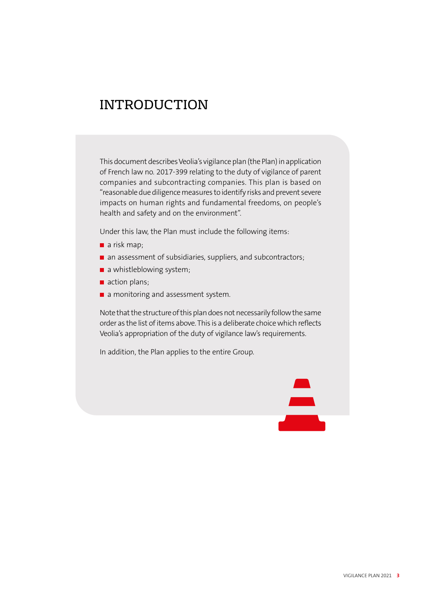# INTRODUCTION

This document describes Veolia's vigilance plan (the Plan) in application of French law no. 2017-399 relating to the duty of vigilance of parent companies and subcontracting companies. This plan is based on "reasonable due diligence measures to identify risks and prevent severe impacts on human rights and fundamental freedoms, on people's health and safety and on the environment".

Under this law, the Plan must include the following items:

- $\blacksquare$  a risk map;
- an assessment of subsidiaries, suppliers, and subcontractors;
- $\blacksquare$  a whistleblowing system;
- action plans;
- $\blacksquare$  a monitoring and assessment system.

Note that the structure of this plan does not necessarily follow the same order as the list of items above. This is a deliberate choice which reflects Veolia's appropriation of the duty of vigilance law's requirements.

In addition, the Plan applies to the entire Group.

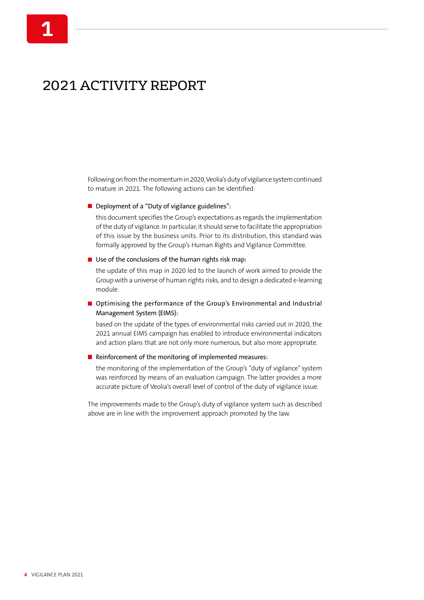# 2021 ACTIVITY REPORT

Following on from the momentum in 2020, Veolia's duty of vigilance system continued to mature in 2021. The following actions can be identified:

Deployment of a "Duty of vigilance guidelines":

this document specifies the Group's expectations as regards the implementation of the duty of vigilance. In particular, it should serve to facilitate the appropriation of this issue by the business units. Prior to its distribution, this standard was formally approved by the Group's Human Rights and Vigilance Committee.

#### $\blacksquare$  Use of the conclusions of the human rights risk map:

the update of this map in 2020 led to the launch of work aimed to provide the Group with a universe of human rights risks, and to design a dedicated e-learning module.

#### ■ Optimising the performance of the Group's Environmental and Industrial Management System (EIMS):

based on the update of the types of environmental risks carried out in 2020, the 2021 annual EIMS campaign has enabled to introduce environmental indicators and action plans that are not only more numerous, but also more appropriate.

#### $\blacksquare$  Reinforcement of the monitoring of implemented measures:

the monitoring of the implementation of the Group's "duty of vigilance" system was reinforced by means of an evaluation campaign. The latter provides a more accurate picture of Veolia's overall level of control of the duty of vigilance issue.

The improvements made to the Group's duty of vigilance system such as described above are in line with the improvement approach promoted by the law.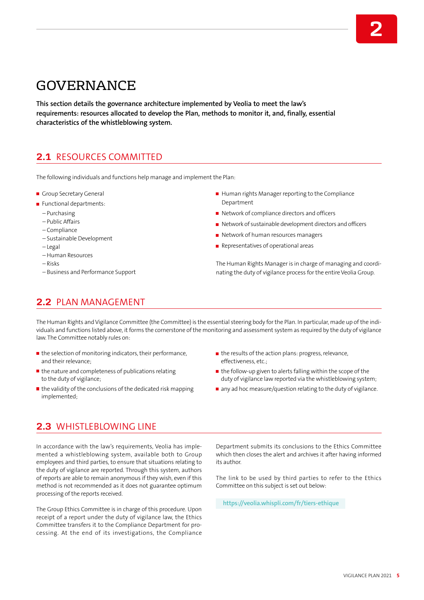# GOVERNANCE

**This section details the governance architecture implemented by Veolia to meet the law's requirements: resources allocated to develop the Plan, methods to monitor it, and, finally, essential characteristics of the whistleblowing system.**

# **2.1** RESOURCES COMMITTED

The following individuals and functions help manage and implement the Plan:

- Group Secretary General
- Functional departments:
	- Purchasing
	- Public Affairs
	- Compliance
	- Sustainable Development
	- Legal
	- Human Resources
	- Risks
	- Business and Performance Support
- $\blacksquare$  Human rights Manager reporting to the Compliance Department
- Network of compliance directors and officers
- Network of sustainable development directors and officers
- Network of human resources managers
- $\blacksquare$  Representatives of operational areas

The Human Rights Manager is in charge of managing and coordinating the duty of vigilance process for the entire Veolia Group.

## **2.2** PLAN MANAGEMENT

The Human Rights and Vigilance Committee (the Committee) is the essential steering body for the Plan. In particular, made up of the individuals and functions listed above, it forms the cornerstone of the monitoring and assessment system as required by the duty of vigilance law. The Committee notably rules on:

- $\blacksquare$  the selection of monitoring indicators, their performance, and their relevance;
- $\blacksquare$  the nature and completeness of publications relating to the duty of vigilance;
- $\blacksquare$  the validity of the conclusions of the dedicated risk mapping implemented;
- $\blacksquare$  the results of the action plans: progress, relevance, effectiveness, etc.;
- $\blacksquare$  the follow-up given to alerts falling within the scope of the duty of vigilance law reported via the whistleblowing system;
- any ad hoc measure/question relating to the duty of vigilance.

# **2.3** WHISTLEBLOWING LINE

In accordance with the law's requirements, Veolia has implemented a whistleblowing system, available both to Group employees and third parties, to ensure that situations relating to the duty of vigilance are reported. Through this system, authors of reports are able to remain anonymous if they wish, even if this method is not recommended as it does not guarantee optimum processing of the reports received.

The Group Ethics Committee is in charge of this procedure. Upon receipt of a report under the duty of vigilance law, the Ethics Committee transfers it to the Compliance Department for processing. At the end of its investigations, the Compliance Department submits its conclusions to the Ethics Committee which then closes the alert and archives it after having informed its author.

The link to be used by third parties to refer to the Ethics Committee on this subject is set out below:

**<https://veolia.whispli.com/fr/tiers-ethique>**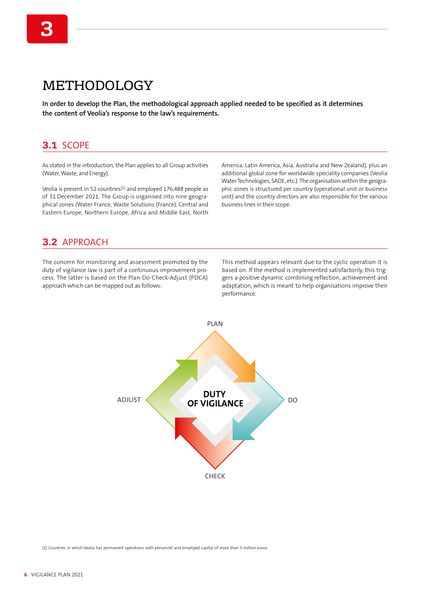# METHODOLOGY

**In order to develop the Plan, the methodological approach applied needed to be specified as it determines the content of Veolia's response to the law's requirements.**

### **3.1** SCOPE

As stated in the introduction, the Plan applies to all Group activities (Water, Waste, and Energy).

Veolia is present in 52 countries $(1)$  and employed 176,488 people as of 31 December 2021. The Group is organised into nine geographical zones (Water France, Waste Solutions (France), Central and Eastern Europe, Northern Europe, Africa and Middle East, North America, Latin America, Asia, Australia and New Zealand), plus an additional global zone for worldwide speciality companies (Veolia Water Technologies, SADE, etc.). The organisation within the geographic zones is structured per country (operational unit or business unit) and the country directors are also responsible for the various business lines in their scope.

## **3.2** APPROACH

The concern for monitoring and assessment promoted by the duty of vigilance law is part of a continuous improvement process. The latter is based on the Plan-Do-Check-Adjust (PDCA) approach which can be mapped out as follows:

This method appears relevant due to the cyclic operation it is based on. If the method is implemented satisfactorily, this triggers a positive dynamic combining reflection, achievement and adaptation, which is meant to help organisations improve their performance.



(1) Countries in which Veolia has permanent operations with personnel and employed capital of more than 5 million euros.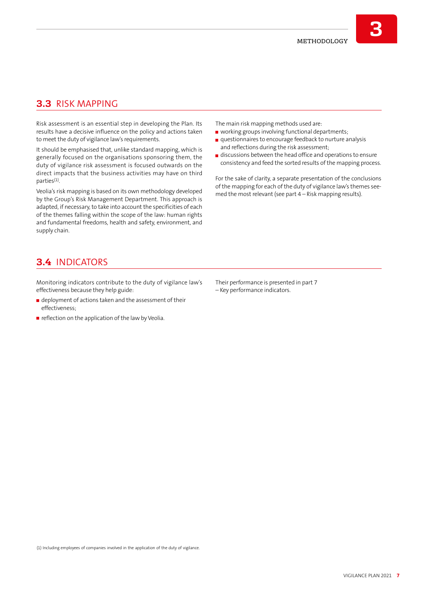# **3.3** RISK MAPPING

Risk assessment is an essential step in developing the Plan. Its results have a decisive influence on the policy and actions taken to meet the duty of vigilance law's requirements.

It should be emphasised that, unlike standard mapping, which is generally focused on the organisations sponsoring them, the duty of vigilance risk assessment is focused outwards on the direct impacts that the business activities may have on third parties(1).

Veolia's risk mapping is based on its own methodology developed by the Group's Risk Management Department. This approach is adapted, if necessary, to take into account the specificities of each of the themes falling within the scope of the law: human rights and fundamental freedoms, health and safety, environment, and supply chain.

The main risk mapping methods used are:

- working groups involving functional departments;
- questionnaires to encourage feedback to nurture analysis and reflections during the risk assessment;
- discussions between the head office and operations to ensure consistency and feed the sorted results of the mapping process.

For the sake of clarity, a separate presentation of the conclusions of the mapping for each of the duty of vigilance law's themes seemed the most relevant (see part 4 – Risk mapping results).

## **3.4** INDICATORS

Monitoring indicators contribute to the duty of vigilance law's effectiveness because they help guide:

- deployment of actions taken and the assessment of their effectiveness;
- $\blacksquare$  reflection on the application of the law by Veolia.

Their performance is presented in part 7 – Key performance indicators.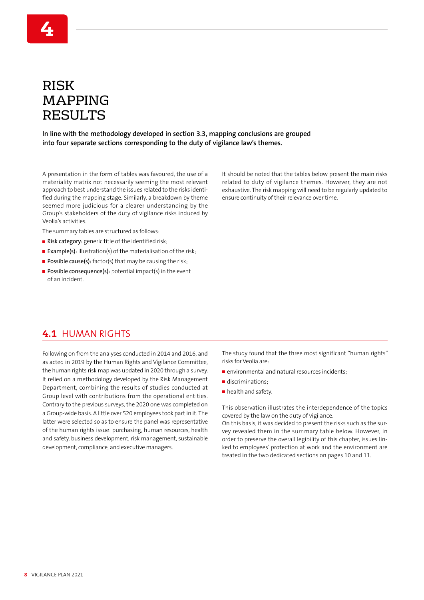# RISK MAPPING RESULTS

**4**

**In line with the methodology developed in section 3.3, mapping conclusions are grouped into four separate sections corresponding to the duty of vigilance law's themes.**

A presentation in the form of tables was favoured, the use of a materiality matrix not necessarily seeming the most relevant approach to best understand the issues related to the risks identified during the mapping stage. Similarly, a breakdown by theme seemed more judicious for a clearer understanding by the Group's stakeholders of the duty of vigilance risks induced by Veolia's activities.

The summary tables are structured as follows:

- Risk category: generic title of the identified risk;
- **Example(s):** illustration(s) of the materialisation of the risk;
- Possible cause(s):  $factor(s)$  that may be causing the risk;
- **Possible consequence(s):** potential impact(s) in the event of an incident.

It should be noted that the tables below present the main risks related to duty of vigilance themes. However, they are not exhaustive. The risk mapping will need to be regularly updated to ensure continuity of their relevance over time.

### **4.1** HUMAN RIGHTS

Following on from the analyses conducted in 2014 and 2016, and as acted in 2019 by the Human Rights and Vigilance Committee, the human rights risk map was updated in 2020 through a survey. It relied on a methodology developed by the Risk Management Department, combining the results of studies conducted at Group level with contributions from the operational entities. Contrary to the previous surveys, the 2020 one was completed on a Group-wide basis. A little over 520 employees took part in it. The latter were selected so as to ensure the panel was representative of the human rights issue: purchasing, human resources, health and safety, business development, risk management, sustainable development, compliance, and executive managers.

The study found that the three most significant "human rights" risks for Veolia are:

- $\blacksquare$  environmental and natural resources incidents;
- discriminations;
- health and safety.

This observation illustrates the interdependence of the topics covered by the law on the duty of vigilance.

On this basis, it was decided to present the risks such as the survey revealed them in the summary table below. However, in order to preserve the overall legibility of this chapter, issues linked to employees' protection at work and the environment are treated in the two dedicated sections on pages 10 and 11.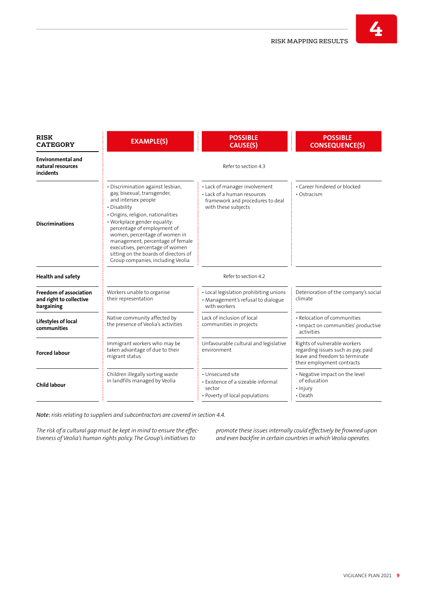| <b>RISK</b><br><b>EXAMPLE(S)</b><br><b>CATEGORY</b>                    |                                                                                                                                                                                                                                                                                                                                                                                                    | <b>POSSIBLE</b><br><b>CAUSE(S)</b>                                                                                      | <b>POSSIBLE</b><br><b>CONSEQUENCE(S)</b>                                                                                           |
|------------------------------------------------------------------------|----------------------------------------------------------------------------------------------------------------------------------------------------------------------------------------------------------------------------------------------------------------------------------------------------------------------------------------------------------------------------------------------------|-------------------------------------------------------------------------------------------------------------------------|------------------------------------------------------------------------------------------------------------------------------------|
| <b>Environmental and</b><br>natural resources<br><b>incidents</b>      |                                                                                                                                                                                                                                                                                                                                                                                                    | Refer to section 4.3                                                                                                    |                                                                                                                                    |
| <b>Discriminations</b>                                                 | · Discrimination against lesbian,<br>gay, bisexual, transgender,<br>and intersex people<br>• Disability<br>· Origins, religion, nationalities<br>• Workplace gender equality:<br>percentage of employment of<br>women, percentage of women in<br>management, percentage of female<br>executives, percentage of women<br>sitting on the boards of directors of<br>Group companies, including Veolia | • Lack of manager involvement<br>• Lack of a human resources<br>framework and procedures to deal<br>with these subjects | • Career hindered or blocked<br>• Ostracism                                                                                        |
| <b>Health and safety</b>                                               |                                                                                                                                                                                                                                                                                                                                                                                                    | Refer to section 4.2                                                                                                    |                                                                                                                                    |
| <b>Freedom of association</b><br>and right to collective<br>bargaining | Workers unable to organise<br>their representation                                                                                                                                                                                                                                                                                                                                                 | • Local legislation prohibiting unions<br>• Management's refusal to dialogue<br>with workers                            | Deterioration of the company's social<br>climate                                                                                   |
| Lifestyles of local<br>communities                                     | Native community affected by<br>the presence of Veolia's activities                                                                                                                                                                                                                                                                                                                                | Lack of inclusion of local<br>communities in projects                                                                   | • Relocation of communities<br>· Impact on communities' productive<br>activities                                                   |
| <b>Forced labour</b>                                                   | Immigrant workers who may be<br>taken advantage of due to their<br>migrant status                                                                                                                                                                                                                                                                                                                  | Unfavourable cultural and legislative<br>environment                                                                    | Rights of vulnerable workers<br>regarding issues such as pay, paid<br>leave and freedom to terminate<br>their employment contracts |
| <b>Child labour</b>                                                    | Children illegally sorting waste<br>in landfills managed by Veolia                                                                                                                                                                                                                                                                                                                                 | · Unsecured site<br>• Existence of a sizeable informal<br>sector<br>• Poverty of local populations                      | • Negative impact on the level<br>of education<br>• Injury<br>$\cdot$ Death                                                        |

*Note: risks relating to suppliers and subcontractors are covered in section 4.4.*

*The risk of a cultural gap must be kept in mind to ensure the effectiveness of Veolia's human rights policy. The Group's initiatives to* 

*promote these issues internally could effectively be frowned upon and even backfire in certain countries in which Veolia operates.*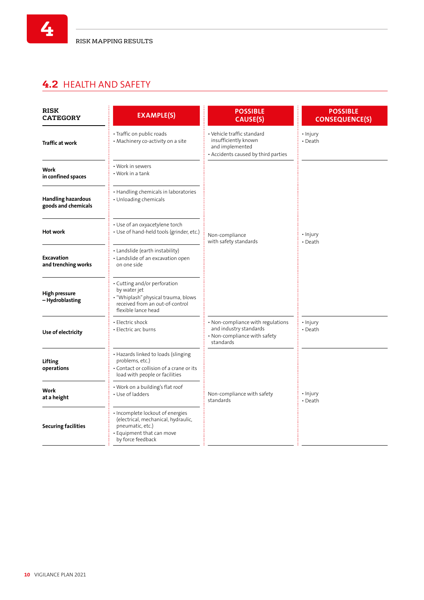# **4.2** HEALTH AND SAFETY

**4**

| <b>RISK</b><br><b>CATEGORY</b>                   | <b>EXAMPLE(S)</b>                                                                                                                                                              | <b>POSSIBLE</b><br><b>CAUSE(S)</b>                                                                       | <b>POSSIBLE</b><br><b>CONSEQUENCE(S)</b> |
|--------------------------------------------------|--------------------------------------------------------------------------------------------------------------------------------------------------------------------------------|----------------------------------------------------------------------------------------------------------|------------------------------------------|
| <b>Traffic at work</b>                           | · Vehicle traffic standard<br>· Traffic on public roads<br>insufficiently known<br>• Machinery co-activity on a site<br>and implemented<br>• Accidents caused by third parties |                                                                                                          | • Injury<br>• Death                      |
| Work<br>in confined spaces                       | • Work in sewers<br>• Work in a tank                                                                                                                                           |                                                                                                          |                                          |
| <b>Handling hazardous</b><br>goods and chemicals | • Handling chemicals in laboratories<br>• Unloading chemicals                                                                                                                  |                                                                                                          |                                          |
| <b>Hot work</b>                                  | • Use of an oxyacetylene torch<br>• Use of hand-held tools (grinder, etc.)                                                                                                     | Non-compliance<br>with safety standards                                                                  | • Injury<br>• Death                      |
| Excavation<br>and trenching works                | • Landslide (earth instability)<br>• Landslide of an excavation open<br>on one side                                                                                            |                                                                                                          |                                          |
| <b>High pressure</b><br>– Hydroblasting          | • Cutting and/or perforation<br>by water jet<br>. "Whiplash" physical trauma, blows<br>received from an out-of-control<br>flexible lance head                                  |                                                                                                          |                                          |
| Use of electricity                               | • Electric shock<br>• Electric arc burns                                                                                                                                       | • Non-compliance with regulations<br>and industry standards<br>· Non-compliance with safety<br>standards | · Injury<br>• Death                      |
| Lifting<br>operations                            | • Hazards linked to loads (slinging<br>problems, etc.)<br>• Contact or collision of a crane or its<br>load with people or facilities                                           |                                                                                                          |                                          |
| Work<br>at a height                              | • Work on a building's flat roof<br>• Use of ladders                                                                                                                           | Non-compliance with safety<br>standards                                                                  | • Injury<br>• Death                      |
| <b>Securing facilities</b>                       | · Incomplete lockout of energies<br>(electrical, mechanical, hydraulic,<br>pneumatic, etc.)<br>· Equipment that can move<br>by force feedback                                  |                                                                                                          |                                          |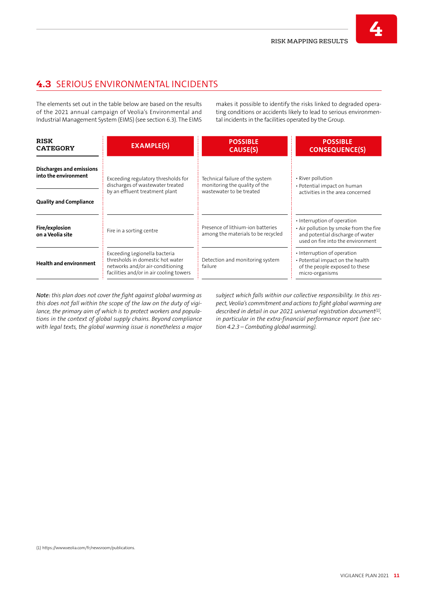# **4.3** SERIOUS ENVIRONMENTAL INCIDENTS

The elements set out in the table below are based on the results of the 2021 annual campaign of Veolia's Environmental and Industrial Management System (EIMS) (see section 6.3). The EIMS

makes it possible to identify the risks linked to degraded operating conditions or accidents likely to lead to serious environmental incidents in the facilities operated by the Group.

| <b>RISK</b><br><b>CATEGORY</b>                   | <b>EXAMPLE(S)</b>                                                                                                                                | <b>POSSIBLE</b><br><b>CAUSE(S)</b>                                                           | <b>POSSIBLE</b><br><b>CONSEQUENCE(S)</b>                                                                                                       |  |  |
|--------------------------------------------------|--------------------------------------------------------------------------------------------------------------------------------------------------|----------------------------------------------------------------------------------------------|------------------------------------------------------------------------------------------------------------------------------------------------|--|--|
| Discharges and emissions<br>into the environment | Exceeding regulatory thresholds for<br>discharges of wastewater treated<br>by an effluent treatment plant                                        | Technical failure of the system<br>monitoring the quality of the<br>wastewater to be treated | • River pollution<br>• Potential impact on human                                                                                               |  |  |
| <b>Quality and Compliance</b>                    |                                                                                                                                                  |                                                                                              | activities in the area concerned                                                                                                               |  |  |
| Fire/explosion<br>on a Veolia site               | Fire in a sorting centre                                                                                                                         | Presence of lithium-ion batteries<br>among the materials to be recycled                      | • Interruption of operation<br>• Air pollution by smoke from the fire<br>and potential discharge of water<br>used on fire into the environment |  |  |
| <b>Health and environment</b>                    | Exceeding Legionella bacteria<br>thresholds in domestic hot water<br>networks and/or air-conditioning<br>facilities and/or in air cooling towers | Detection and monitoring system<br>failure                                                   | • Interruption of operation<br>• Potential impact on the health<br>of the people exposed to these<br>micro-organisms                           |  |  |

*Note: this plan does not cover the fight against global warming as this does not fall within the scope of the law on the duty of vigilance, the primary aim of which is to protect workers and populations in the context of global supply chains. Beyond compliance with legal texts, the global warming issue is nonetheless a major*  *subject which falls within our collective responsibility. In this respect, Veolia's commitment and actions to fight global warming are described in detail in our 2021 universal registration document(1), in particular in the extra-financial performance report (see section 4.2.3 – Combating global warming).*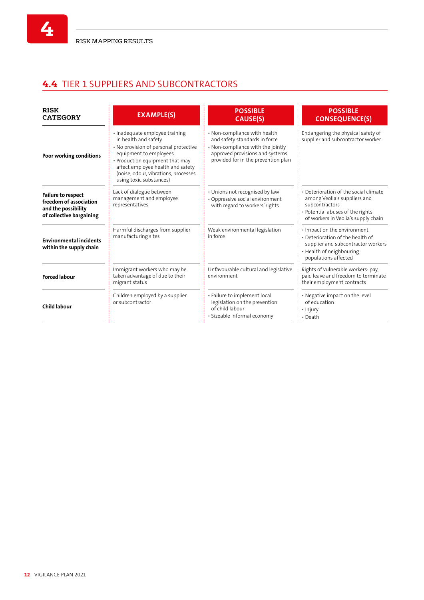**4**

# **4.4** TIER 1 SUPPLIERS AND SUBCONTRACTORS

| <b>RISK</b><br><b>CATEGORY</b>                                                                                                                                                   | <b>EXAMPLE(S)</b>                                                                                                                                                                                                                                                    | <b>POSSIBLE</b><br>CAUSE(S)                                                                                                                                                  | <b>POSSIBLE</b><br><b>CONSEQUENCE(S)</b>                                                                                                                           |  |  |
|----------------------------------------------------------------------------------------------------------------------------------------------------------------------------------|----------------------------------------------------------------------------------------------------------------------------------------------------------------------------------------------------------------------------------------------------------------------|------------------------------------------------------------------------------------------------------------------------------------------------------------------------------|--------------------------------------------------------------------------------------------------------------------------------------------------------------------|--|--|
| Poor working conditions                                                                                                                                                          | · Inadequate employee training<br>in health and safety<br>• No provision of personal protective<br>equipment to employees<br>• Production equipment that may<br>affect employee health and safety<br>(noise, odour, vibrations, processes<br>using toxic substances) | • Non-compliance with health<br>and safety standards in force<br>. Non-compliance with the jointly<br>approved provisions and systems<br>provided for in the prevention plan | Endangering the physical safety of<br>supplier and subcontractor worker                                                                                            |  |  |
| Lack of dialogue between<br><b>Failure to respect</b><br>management and employee<br>freedom of association<br>representatives<br>and the possibility<br>of collective bargaining |                                                                                                                                                                                                                                                                      | • Unions not recognised by law<br>· Oppressive social environment<br>with regard to workers' rights                                                                          | • Deterioration of the social climate<br>among Veolia's suppliers and<br>subcontractors<br>• Potential abuses of the rights<br>of workers in Veolia's supply chain |  |  |
| <b>Environmental incidents</b><br>within the supply chain                                                                                                                        | Harmful discharges from supplier<br>manufacturing sites                                                                                                                                                                                                              | Weak environmental legislation<br>in force                                                                                                                                   | · Impact on the environment<br>• Deterioration of the health of<br>supplier and subcontractor workers<br>• Health of neighbouring<br>populations affected          |  |  |
| <b>Forced labour</b>                                                                                                                                                             | Immigrant workers who may be<br>taken advantage of due to their<br>migrant status                                                                                                                                                                                    | Unfavourable cultural and legislative<br>environment                                                                                                                         | Rights of vulnerable workers: pay,<br>paid leave and freedom to terminate<br>their employment contracts                                                            |  |  |
| <b>Child labour</b>                                                                                                                                                              | Children employed by a supplier<br>or subcontractor                                                                                                                                                                                                                  | · Failure to implement local<br>legislation on the prevention<br>of child labour<br>· Sizeable informal economy                                                              | • Negative impact on the level<br>of education<br>• Injury<br>$\cdot$ Death                                                                                        |  |  |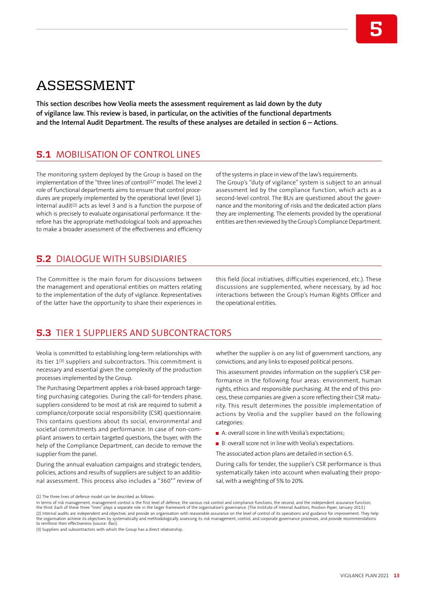# ASSESSMENT

**This section describes how Veolia meets the assessment requirement as laid down by the duty of vigilance law. This review is based, in particular, on the activities of the functional departments and the Internal Audit Department. The results of these analyses are detailed in section 6 – Actions.**

## **5.1** MOBILISATION OF CONTROL LINES

The monitoring system deployed by the Group is based on the implementation of the "three lines of control<sup>(1)</sup>" model. The level 2 role of functional departments aims to ensure that control procedures are properly implemented by the operational level (level 1). Internal audit<sup>(2)</sup> acts as level 3 and is a function the purpose of which is precisely to evaluate organisational performance. It therefore has the appropriate methodological tools and approaches to make a broader assessment of the effectiveness and efficiency of the systems in place in view of the law's requirements. The Group's "duty of vigilance" system is subject to an annual assessment led by the compliance function, which acts as a second-level control. The BUs are questioned about the governance and the monitoring of risks and the dedicated action plans they are implementing. The elements provided by the operational entities are then reviewed by the Group's Compliance Department.

**5**

### **5.2** DIALOGUE WITH SUBSIDIARIES

The Committee is the main forum for discussions between the management and operational entities on matters relating to the implementation of the duty of vigilance. Representatives of the latter have the opportunity to share their experiences in

this field (local initiatives, difficulties experienced, etc.). These discussions are supplemented, where necessary, by ad hoc interactions between the Group's Human Rights Officer and the operational entities.

### **5.3** TIER 1 SUPPLIERS AND SUBCONTRACTORS

Veolia is committed to establishing long-term relationships with its tier 1<sup>(3)</sup> suppliers and subcontractors. This commitment is necessary and essential given the complexity of the production processes implemented by the Group.

The Purchasing Department applies a risk-based approach targeting purchasing categories. During the call-for-tenders phase, suppliers considered to be most at risk are required to submit a compliance/corporate social responsibility (CSR) questionnaire. This contains questions about its social, environmental and societal commitments and performance. In case of non-compliant answers to certain targeted questions, the buyer, with the help of the Compliance Department, can decide to remove the supplier from the panel.

During the annual evaluation campaigns and strategic tenders, policies, actions and results of suppliers are subject to an additional assessment. This process also includes a "360°" review of whether the supplier is on any list of government sanctions, any convictions, and any links to exposed political persons.

This assessment provides information on the supplier's CSR performance in the following four areas: environment, human rights, ethics and responsible purchasing. At the end of this process, these companies are given a score reflecting their CSR maturity. This result determines the possible implementation of actions by Veolia and the supplier based on the following categories:

- A: overall score in line with Veolia's expectations;
- B: overall score not in line with Veolia's expectations.

The associated action plans are detailed in section 6.5.

During calls for tender, the supplier's CSR performance is thus systematically taken into account when evaluating their proposal, with a weighting of 5% to 20%.

(1) The three lines of defence model can be described as follows:

(3) Suppliers and subcontractors with which the Group has a direct relationship.

In terms of risk management, management control is the first level of defence, the various risk control and compliance functions, the second, and the independent assurance function, the third. Each of these three "lines" plays a separate role in the larger framework of the organisation's governance. (The Institute of Internal Auditors, Position Paper, January 2013.) (2) Internal audits are independent and objective, and provide an organisation with reasonable assurance on the level of control of its operations and guidance for improvement. They help<br>the organisation achieve its object to reinforce their effectiveness (source: Ifaci).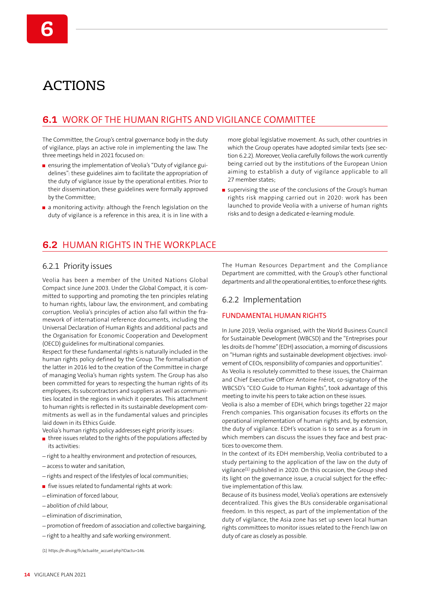# ACTIONS

## **6.1** WORK OF THE HUMAN RIGHTS AND VIGILANCE COMMITTEE

The Committee, the Group's central governance body in the duty of vigilance, plays an active role in implementing the law. The three meetings held in 2021 focused on:

- ensuring the implementation of Veolia's "Duty of vigilance guidelines": these guidelines aim to facilitate the appropriation of the duty of vigilance issue by the operational entities. Prior to their dissemination, these guidelines were formally approved by the Committee;
- a monitoring activity: although the French legislation on the duty of vigilance is a reference in this area, it is in line with a

**6.2** HUMAN RIGHTS IN THE WORKPLACE

### 6.2.1 Priority issues

Veolia has been a member of the United Nations Global Compact since June 2003. Under the Global Compact, it is committed to supporting and promoting the ten principles relating to human rights, labour law, the environment, and combating corruption. Veolia's principles of action also fall within the framework of international reference documents, including the Universal Declaration of Human Rights and additional pacts and the Organisation for Economic Cooperation and Development (OECD) guidelines for multinational companies.

Respect for these fundamental rights is naturally included in the human rights policy defined by the Group. The formalisation of the latter in 2016 led to the creation of the Committee in charge of managing Veolia's human rights system. The Group has also been committed for years to respecting the human rights of its employees, its subcontractors and suppliers as well as communities located in the regions in which it operates. This attachment to human rights is reflected in its sustainable development commitments as well as in the fundamental values and principles laid down in its Ethics Guide.

Veolia's human rights policy addresses eight priority issues:

- three issues related to the rights of the populations affected by its activities:
- right to a healthy environment and protection of resources,
- access to water and sanitation,
- rights and respect of the lifestyles of local communities;
- $\blacksquare$  five issues related to fundamental rights at work:
- elimination of forced labour,
- abolition of child labour,
- elimination of discrimination,
- promotion of freedom of association and collective bargaining,
- right to a healthy and safe working environment.

(1) https://e-dh.org/fr/actualite\_accueil.php?IDactu=146.

more global legislative movement. As such, other countries in which the Group operates have adopted similar texts (see section 6.2.2). Moreover, Veolia carefully follows the work currently being carried out by the institutions of the European Union aiming to establish a duty of vigilance applicable to all 27 member states;

supervising the use of the conclusions of the Group's human rights risk mapping carried out in 2020: work has been launched to provide Veolia with a universe of human rights risks and to design a dedicated e-learning module.

The Human Resources Department and the Compliance Department are committed, with the Group's other functional departments and all the operational entities, to enforce these rights.

#### 6.2.2 Implementation

#### FUNDAMENTAL HUMAN RIGHTS

In June 2019, Veolia organised, with the World Business Council for Sustainable Development (WBCSD) and the "Entreprises pour les droits de l'homme" (EDH) association, a morning of discussions on "Human rights and sustainable development objectives: involvement of CEOs, responsibility of companies and opportunities".

As Veolia is resolutely committed to these issues, the Chairman and Chief Executive Officer Antoine Frérot, co-signatory of the WBCSD's "CEO Guide to Human Rights", took advantage of this meeting to invite his peers to take action on these issues.

Veolia is also a member of EDH, which brings together 22 major French companies. This organisation focuses its efforts on the operational implementation of human rights and, by extension, the duty of vigilance. EDH's vocation is to serve as a forum in which members can discuss the issues they face and best practices to overcome them.

In the context of its EDH membership, Veolia contributed to a study pertaining to the application of the law on the duty of vigilance(1) published in 2020. On this occasion, the Group shed its light on the governance issue, a crucial subject for the effective implementation of this law.

Because of its business model, Veolia's operations are extensively decentralized. This gives the BUs considerable organisational freedom. In this respect, as part of the implementation of the duty of vigilance, the Asia zone has set up seven local human rights committees to monitor issues related to the French law on duty of care as closely as possible.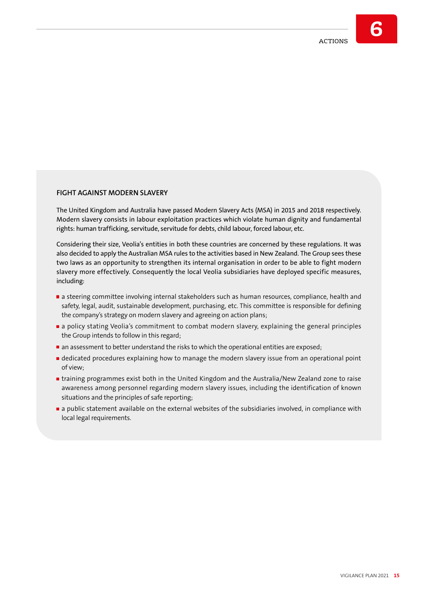### **FIGHT AGAINST MODERN SLAVERY**

The United Kingdom and Australia have passed Modern Slavery Acts (MSA) in 2015 and 2018 respectively. Modern slavery consists in labour exploitation practices which violate human dignity and fundamental rights: human trafficking, servitude, servitude for debts, child labour, forced labour, etc.

Considering their size, Veolia's entities in both these countries are concerned by these regulations. It was also decided to apply the Australian MSA rules to the activities based in New Zealand. The Group sees these two laws as an opportunity to strengthen its internal organisation in order to be able to fight modern slavery more effectively. Consequently the local Veolia subsidiaries have deployed specific measures, including:

- a steering committee involving internal stakeholders such as human resources, compliance, health and safety, legal, audit, sustainable development, purchasing, etc. This committee is responsible for defining the company's strategy on modern slavery and agreeing on action plans;
- a policy stating Veolia's commitment to combat modern slavery, explaining the general principles the Group intends to follow in this regard;
- an assessment to better understand the risks to which the operational entities are exposed;
- dedicated procedures explaining how to manage the modern slavery issue from an operational point of view;
- **I** training programmes exist both in the United Kingdom and the Australia/New Zealand zone to raise awareness among personnel regarding modern slavery issues, including the identification of known situations and the principles of safe reporting;
- **a** a public statement available on the external websites of the subsidiaries involved, in compliance with local legal requirements.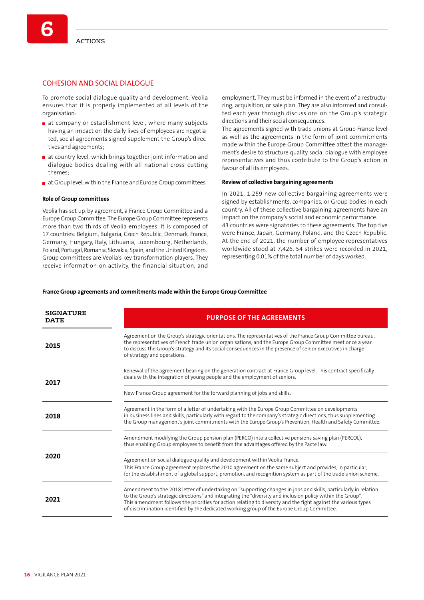**6**

#### COHESION AND SOCIAL DIALOGUE

To promote social dialogue quality and development, Veolia ensures that it is properly implemented at all levels of the organisation:

- at company or establishment level, where many subjects having an impact on the daily lives of employees are negotiated, social agreements signed supplement the Group's directives and agreements;
- at country level, which brings together joint information and dialogue bodies dealing with all national cross-cutting themes;
- at Group level, within the France and Europe Group committees.

#### **Role of Group committees**

Veolia has set up, by agreement, a France Group Committee and a Europe Group Committee. The Europe Group Committee represents more than two thirds of Veolia employees. It is composed of 17 countries: Belgium, Bulgaria, Czech Republic, Denmark, France, Germany, Hungary, Italy, Lithuania, Luxembourg, Netherlands, Poland, Portugal, Romania, Slovakia, Spain, and the United Kingdom. Group committees are Veolia's key transformation players. They receive information on activity, the financial situation, and

employment. They must be informed in the event of a restructuring, acquisition, or sale plan. They are also informed and consulted each year through discussions on the Group's strategic directions and their social consequences.

The agreements signed with trade unions at Group France level as well as the agreements in the form of joint commitments made within the Europe Group Committee attest the management's desire to structure quality social dialogue with employee representatives and thus contribute to the Group's action in favour of all its employees.

#### **Review of collective bargaining agreements**

In 2021, 1,259 new collective bargaining agreements were signed by establishments, companies, or Group bodies in each country. All of these collective bargaining agreements have an impact on the company's social and economic performance. 43 countries were signatories to these agreements. The top five were France, Japan, Germany, Poland, and the Czech Republic. At the end of 2021, the number of employee representatives worldwide stood at 7,426. 54 strikes were recorded in 2021, representing 0.01% of the total number of days worked.

#### **France Group agreements and commitments made within the Europe Group Committee**

| <b>SIGNATURE</b><br><b>DATE</b> | <b>PURPOSE OF THE AGREEMENTS</b>                                                                                                                                                                                                                                                                                                                                                                                                               |
|---------------------------------|------------------------------------------------------------------------------------------------------------------------------------------------------------------------------------------------------------------------------------------------------------------------------------------------------------------------------------------------------------------------------------------------------------------------------------------------|
| 2015                            | Agreement on the Group's strategic orientations. The representatives of the France Group Committee bureau,<br>the representatives of French trade union organisations, and the Europe Group Committee meet once a year<br>to discuss the Group's strategy and its social consequences in the presence of senior executives in charge<br>of strategy and operations.                                                                            |
| 2017                            | Renewal of the agreement bearing on the generation contract at France Group level. This contract specifically<br>deals with the integration of young people and the employment of seniors.                                                                                                                                                                                                                                                     |
|                                 | New France Group agreement for the forward planning of jobs and skills.                                                                                                                                                                                                                                                                                                                                                                        |
| 2018                            | Agreement in the form of a letter of undertaking with the Europe Group Committee on developments<br>in business lines and skills, particularly with regard to the company's strategic directions, thus supplementing<br>the Group management's joint commitments with the Europe Group's Prevention, Health and Safety Committee.                                                                                                              |
|                                 | Amendment modifying the Group pension plan (PERCO) into a collective pensions saving plan (PERCOL),<br>thus enabling Group employees to benefit from the advantages offered by the Pacte law.                                                                                                                                                                                                                                                  |
| 2020                            | Agreement on social dialogue quality and development within Veolia France.<br>This France Group agreement replaces the 2010 agreement on the same subject and provides, in particular,<br>for the establishment of a global support, promotion, and recognition system as part of the trade union scheme.                                                                                                                                      |
| 2021                            | Amendment to the 2018 letter of undertaking on "supporting changes in jobs and skills, particularly in relation<br>to the Group's strategic directions" and integrating the "diversity and inclusion policy within the Group".<br>This amendment follows the priorities for action relating to diversity and the fight against the various types<br>of discrimination identified by the dedicated working group of the Europe Group Committee. |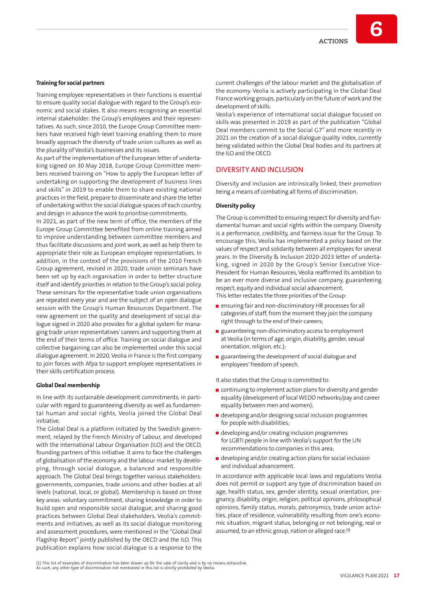#### **Training for social partners**

Training employee representatives in their functions is essential to ensure quality social dialogue with regard to the Group's economic and social stakes. It also means recognising an essential internal stakeholder: the Group's employees and their representatives. As such, since 2010, the Europe Group Committee members have received high-level training enabling them to more broadly approach the diversity of trade union cultures as well as the plurality of Veolia's businesses and its issues.

As part of the implementation of the European letter of undertaking signed on 30 May 2018, Europe Group Committee members received training on "How to apply the European letter of undertaking on supporting the development of business lines and skills" in 2019 to enable them to share existing national practices in the field, prepare to disseminate and share the letter of undertaking within the social dialogue spaces of each country, and design in advance the work to prioritise commitments.

In 2021, as part of the new term of office, the members of the Europe Group Committee benefited from online training aimed to improve understanding between committee members and thus facilitate discussions and joint work, as well as help them to appropriate their role as European employee representatives. In addition, in the context of the provisions of the 2010 French Group agreement, revised in 2020, trade union seminars have been set up by each organisation in order to better structure itself and identify priorities in relation to the Group's social policy. These seminars for the representative trade union organisations are repeated every year and are the subject of an open dialogue session with the Group's Human Resources Department. The new agreement on the quality and development of social dialogue signed in 2020 also provides for a global system for managing trade union representatives' careers and supporting them at the end of their terms of office. Training on social dialogue and collective bargaining can also be implemented under this social dialogue agreement. In 2020, Veolia in France is the first company to join forces with Afpa to support employee representatives in their skills certification process.

#### **Global Deal membership**

In line with its sustainable development commitments, in particular with regard to guaranteeing diversity as well as fundamental human and social rights, Veolia joined the Global Deal initiative.

The Global Deal is a platform initiated by the Swedish government, relayed by the French Ministry of Labour, and developed with the International Labour Organisation (ILO) and the OECD, founding partners of this initiative. It aims to face the challenges of globalisation of the economy and the labour market by developing, through social dialogue, a balanced and responsible approach. The Global Deal brings together various stakeholders: governments, companies, trade unions and other bodies at all levels (national, local, or global). Membership is based on three key areas: voluntary commitment, sharing knowledge in order to build open and responsible social dialogue, and sharing good practices between Global Deal stakeholders. Veolia's commitments and initiatives, as well as its social dialogue monitoring and assessment procedures, were mentioned in the "Global Deal Flagship Report" jointly published by the OECD and the ILO. This publication explains how social dialogue is a response to the

current challenges of the labour market and the globalisation of the economy. Veolia is actively participating in the Global Deal France working groups, particularly on the future of work and the development of skills.

Veolia's experience of international social dialogue focused on skills was presented in 2019 as part of the publication "Global Deal members commit to the Social G7" and more recently in 2021 on the creation of a social dialogue quality index, currently being validated within the Global Deal bodies and its partners at the ILO and the OECD.

#### DIVERSITY AND INCLUSION

Diversity and inclusion are intrinsically linked, their promotion being a means of combating all forms of discrimination.

#### **Diversity policy**

The Group is committed to ensuring respect for diversity and fundamental human and social rights within the company. Diversity is a performance, credibility, and fairness issue for the Group. To encourage this, Veolia has implemented a policy based on the values of respect and solidarity between all employees for several years. In the Diversity & Inclusion 2020-2023 letter of undertaking, signed in 2020 by the Group's Senior Executive Vice-President for Human Resources, Veolia reaffirmed its ambition to be an ever more diverse and inclusive company, guaranteeing respect, equity and individual social advancement. This letter restates the three priorities of the Group:

- **EXECUTE: 19 In the system in a manufatory HR** processes for all categories of staff, from the moment they join the company right through to the end of their careers;
- **E** guaranteeing non-discriminatory access to employment at Veolia (in terms of age, origin, disability, gender, sexual orientation, religion, etc.);
- **E** guaranteeing the development of social dialogue and employees' freedom of speech.

It also states that the Group is committed to:

- continuing to implement action plans for diversity and gender equality (development of local WEDO networks/pay and career equality between men and women);
- developing and/or designing social inclusion programmes for people with disabilities;
- developing and/or creating inclusion programmes for LGBTI people in line with Veolia's support for the UN recommendations to companies in this area;
- developing and/or creating action plans for social inclusion and individual advancement.

In accordance with applicable local laws and regulations Veolia does not permit or support any type of discrimination based on age, health status, sex, gender identity, sexual orientation, pregnancy, disability, origin, religion, political opinions, philosophical opinions, family status, morals, patronymics, trade union activities, place of residence, vulnerability resulting from one's economic situation, migrant status, belonging or not belonging, real or assumed, to an ethnic group, nation or alleged race.( 1)

(1) This list of examples of discrimination has been drawn up for the sake of clarity and is by no means exhaustive. As such, any other type of discrimination not mentioned in this list is strictly prohibited by Veolia.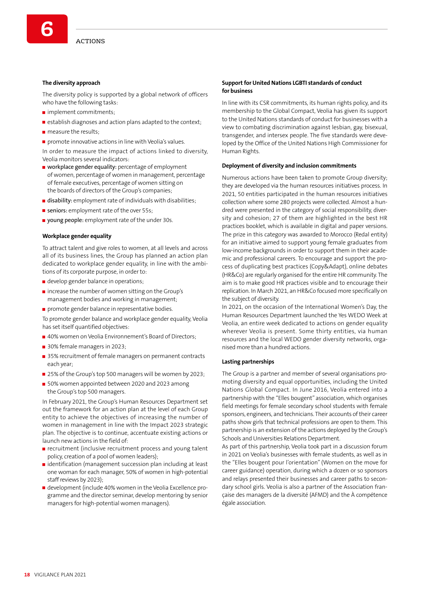#### **The diversity approach**

The diversity policy is supported by a global network of officers who have the following tasks:

- $\blacksquare$  implement commitments;
- $\blacksquare$  establish diagnoses and action plans adapted to the context:
- $\blacksquare$  measure the results;
- **promote innovative actions in line with Veolia's values.**

In order to measure the impact of actions linked to diversity, Veolia monitors several indicators:

- workplace gender equality: percentage of employment of women, percentage of women in management, percentage of female executives, percentage of women sitting on the boards of directors of the Group's companies;
- $\blacksquare$  disability: employment rate of individuals with disabilities;
- seniors: employment rate of the over 55s;
- voung people: employment rate of the under 30s.

#### **Workplace gender equality**

To attract talent and give roles to women, at all levels and across all of its business lines, the Group has planned an action plan dedicated to workplace gender equality, in line with the ambitions of its corporate purpose, in order to:

- develop gender balance in operations;
- **n** increase the number of women sitting on the Group's management bodies and working in management;
- promote gender balance in representative bodies.

To promote gender balance and workplace gender equality, Veolia has set itself quantified objectives:

- 40% women on Veolia Environnement's Board of Directors;
- 30% female managers in 2023:
- 35% recruitment of female managers on permanent contracts each year;
- 25% of the Group's top 500 managers will be women by 2023;
- 50% women appointed between 2020 and 2023 among the Group's top 500 managers.

In February 2021, the Group's Human Resources Department set out the framework for an action plan at the level of each Group entity to achieve the objectives of increasing the number of women in management in line with the Impact 2023 strategic plan. The objective is to continue, accentuate existing actions or launch new actions in the field of:

- $\blacksquare$  recruitment (inclusive recruitment process and young talent policy, creation of a pool of women leaders);
- didentification (management succession plan including at least one woman for each manager, 50% of women in high-potential staff reviews by 2023);
- development (include 40% women in the Veolia Excellence programme and the director seminar, develop mentoring by senior managers for high-potential women managers).

#### **Support for United Nations LGBTI standards of conduct for business**

In line with its CSR commitments, its human rights policy, and its membership to the Global Compact, Veolia has given its support to the United Nations standards of conduct for businesses with a view to combating discrimination against lesbian, gay, bisexual, transgender, and intersex people. The five standards were developed by the Office of the United Nations High Commissioner for Human Rights.

#### **Deployment of diversity and inclusion commitments**

Numerous actions have been taken to promote Group diversity; they are developed via the human resources initiatives process. In 2021, 50 entities participated in the human resources initiatives collection where some 280 projects were collected. Almost a hundred were presented in the category of social responsibility, diversity and cohesion; 27 of them are highlighted in the best HR practices booklet, which is available in digital and paper versions. The prize in this category was awarded to Morocco (Redal entity) for an initiative aimed to support young female graduates from low-income backgrounds in order to support them in their academic and professional careers. To encourage and support the process of duplicating best practices (Copy&Adapt), online debates (HR&Co) are regularly organised for the entire HR community. The aim is to make good HR practices visible and to encourage their replication. In March 2021, an HR&Co focused more specifically on the subject of diversity.

In 2021, on the occasion of the International Women's Day, the Human Resources Department launched the Yes WEDO Week at Veolia, an entire week dedicated to actions on gender equality wherever Veolia is present. Some thirty entities, via human resources and the local WEDO gender diversity networks, organised more than a hundred actions.

#### **Lasting partnerships**

The Group is a partner and member of several organisations promoting diversity and equal opportunities, including the United Nations Global Compact. In June 2016, Veolia entered into a partnership with the "Elles bougent" association, which organises field meetings for female secondary school students with female sponsors, engineers, and technicians. Their accounts of their career paths show girls that technical professions are open to them. This partnership is an extension of the actions deployed by the Group's Schools and Universities Relations Department.

As part of this partnership, Veolia took part in a discussion forum in 2021 on Veolia's businesses with female students, as well as in the "Elles bougent pour l'orientation" (Women on the move for career guidance) operation, during which a dozen or so sponsors and relays presented their businesses and career paths to secondary school girls. Veolia is also a partner of the Association française des managers de la diversité (AFMD) and the À compétence égale association.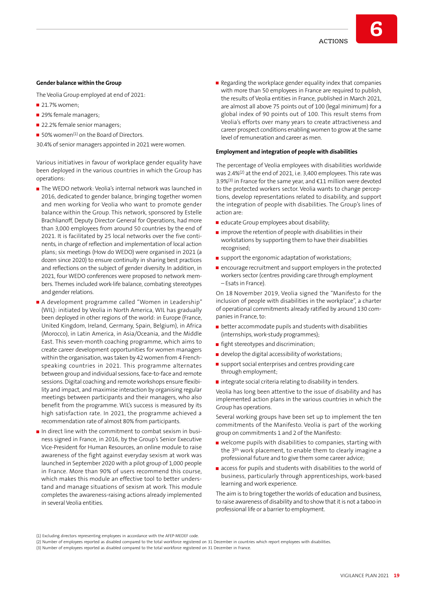#### **Gender balance within the Group**

The Veolia Group employed at end of 2021:

- 21.7% women;
- 29% female managers;
- 22.2% female senior managers:
- 50% women<sup>(1)</sup> on the Board of Directors.

30.4% of senior managers appointed in 2021 were women.

Various initiatives in favour of workplace gender equality have been deployed in the various countries in which the Group has operations:

- The WEDO network: Veolia's internal network was launched in 2016, dedicated to gender balance, bringing together women and men working for Veolia who want to promote gender balance within the Group. This network, sponsored by Estelle Brachlianoff, Deputy Director General for Operations, had more than 3,000 employees from around 50 countries by the end of 2021. It is facilitated by 25 local networks over the five continents, in charge of reflection and implementation of local action plans; six meetings (How do WEDO) were organised in 2021 (a dozen since 2020) to ensure continuity in sharing best practices and reflections on the subject of gender diversity. In addition, in 2021, four WEDO conferences were proposed to network members. Themes included work-life balance, combating stereotypes and gender relations.
- A development programme called "Women in Leadership" (WIL): initiated by Veolia in North America, WIL has gradually been deployed in other regions of the world: in Europe (France, United Kingdom, Ireland, Germany, Spain, Belgium), in Africa (Morocco), in Latin America, in Asia/Oceania, and the Middle East. This seven-month coaching programme, which aims to create career development opportunities for women managers within the organisation, was taken by 42 women from 4 Frenchspeaking countries in 2021. This programme alternates between group and individual sessions, face-to-face and remote sessions. Digital coaching and remote workshops ensure flexibility and impact, and maximise interaction by organising regular meetings between participants and their managers, who also benefit from the programme. WIL's success is measured by its high satisfaction rate. In 2021, the programme achieved a recommendation rate of almost 80% from participants.
- In direct line with the commitment to combat sexism in business signed in France, in 2016, by the Group's Senior Executive Vice-President for Human Resources, an online module to raise awareness of the fight against everyday sexism at work was launched in September 2020 with a pilot group of 1,000 people in France. More than 90% of users recommend this course, which makes this module an effective tool to better understand and manage situations of sexism at work. This module completes the awareness-raising actions already implemented in several Veolia entities.

Regarding the workplace gender equality index that companies with more than 50 employees in France are required to publish, the results of Veolia entities in France, published in March 2021, are almost all above 75 points out of 100 (legal minimum) for a global index of 90 points out of 100. This result stems from Veolia's efforts over many years to create attractiveness and career prospect conditions enabling women to grow at the same level of remuneration and career as men.

#### **Employment and integration of people with disabilities**

The percentage of Veolia employees with disabilities worldwide was 2.4%(2) at the end of 2021, i.e. 3,400 employees. This rate was 3.9%(3) in France for the same year, and €11 million were devoted to the protected workers sector. Veolia wants to change perceptions, develop representations related to disability, and support the integration of people with disabilities. The Group's lines of action are:

- educate Group employees about disability;
- $\blacksquare$  improve the retention of people with disabilities in their workstations by supporting them to have their disabilities recognised;
- support the ergonomic adaptation of workstations;
- **EX ENCOURGEDE ENGLISHED FEEDIVER** and support employers in the protected workers sector (centres providing care through employment – Esats in France).

On 18 November 2019, Veolia signed the "Manifesto for the inclusion of people with disabilities in the workplace", a charter of operational commitments already ratified by around 130 companies in France, to:

- $\blacksquare$  better accommodate pupils and students with disabilities (internships, work-study programmes);
- **fight stereotypes and discrimination;**
- develop the digital accessibility of workstations;
- support social enterprises and centres providing care through employment;
- $\blacksquare$  integrate social criteria relating to disability in tenders.

Veolia has long been attentive to the issue of disability and has implemented action plans in the various countries in which the Group has operations.

Several working groups have been set up to implement the ten commitments of the Manifesto. Veolia is part of the working group on commitments 1 and 2 of the Manifesto:

- $\blacksquare$  welcome pupils with disabilities to companies, starting with the 3th work placement, to enable them to clearly imagine a professional future and to give them some career advice;
- **E** access for pupils and students with disabilities to the world of business, particularly through apprenticeships, work-based learning and work experience.

The aim is to bring together the worlds of education and business, to raise awareness of disability and to show that it is not a taboo in professional life or a barrier to employment.

<sup>(1)</sup> Excluding directors representing employees in accordance with the AFEP-MEDEF code.

<sup>(2)</sup> Number of employees reported as disabled compared to the total workforce registered on 31 December in countries which report employees with disabilities.

<sup>(3)</sup> Number of employees reported as disabled compared to the total workforce registered on 31 December in France.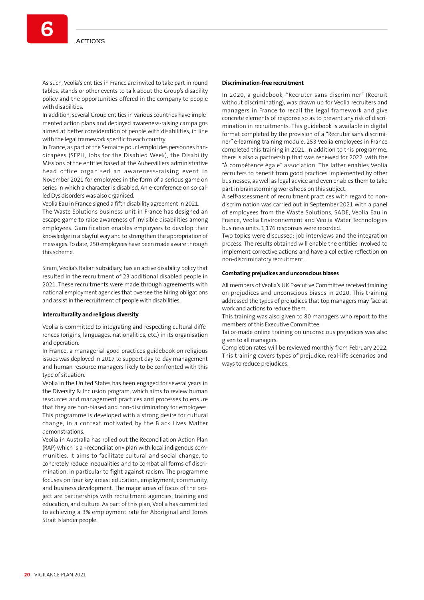**6**

In addition, several Group entities in various countries have implemented action plans and deployed awareness-raising campaigns aimed at better consideration of people with disabilities, in line with the legal framework specific to each country.

In France, as part of the Semaine pour l'emploi des personnes handicapées (SEPH, Jobs for the Disabled Week), the Disability Missions of the entities based at the Aubervilliers administrative head office organised an awareness-raising event in November 2021 for employees in the form of a serious game on series in which a character is disabled. An e-conference on so-called Dys disorders was also organised.

Veolia Eau in France signed a fifth disability agreement in 2021.

The Waste Solutions business unit in France has designed an escape game to raise awareness of invisible disabilities among employees. Gamification enables employees to develop their knowledge in a playful way and to strengthen the appropriation of messages. To date, 250 employees have been made aware through this scheme.

Siram, Veolia's Italian subsidiary, has an active disability policy that resulted in the recruitment of 23 additional disabled people in 2021. These recruitments were made through agreements with national employment agencies that oversee the hiring obligations and assist in the recruitment of people with disabilities.

#### **Interculturality and religious diversity**

Veolia is committed to integrating and respecting cultural differences (origins, languages, nationalities, etc.) in its organisation and operation.

In France, a managerial good practices guidebook on religious issues was deployed in 2017 to support day-to-day management and human resource managers likely to be confronted with this type of situation.

Veolia in the United States has been engaged for several years in the Diversity & Inclusion program, which aims to review human resources and management practices and processes to ensure that they are non-biased and non-discriminatory for employees. This programme is developed with a strong desire for cultural change, in a context motivated by the Black Lives Matter demonstrations.

Veolia in Australia has rolled out the Reconciliation Action Plan (RAP) which is a «reconciliation» plan with local indigenous communities. It aims to facilitate cultural and social change, to concretely reduce inequalities and to combat all forms of discrimination, in particular to fight against racism. The programme focuses on four key areas: education, employment, community, and business development. The major areas of focus of the project are partnerships with recruitment agencies, training and education, and culture. As part of this plan, Veolia has committed to achieving a 3% employment rate for Aboriginal and Torres Strait Islander people.

#### **Discrimination-free recruitment**

In 2020, a guidebook, "Recruter sans discriminer" (Recruit without discriminating), was drawn up for Veolia recruiters and managers in France to recall the legal framework and give concrete elements of response so as to prevent any risk of discrimination in recruitments. This guidebook is available in digital format completed by the provision of a "Recruter sans discriminer" e-learning training module. 253 Veolia employees in France completed this training in 2021. In addition to this programme, there is also a partnership that was renewed for 2022, with the "À compétence égale" association. The latter enables Veolia recruiters to benefit from good practices implemented by other businesses, as well as legal advice and even enables them to take part in brainstorming workshops on this subject.

A self-assessment of recruitment practices with regard to nondiscrimination was carried out in September 2021 with a panel of employees from the Waste Solutions, SADE, Veolia Eau in France, Veolia Environnement and Veolia Water Technologies business units. 1,176 responses were recorded.

Two topics were discussed: job interviews and the integration process. The results obtained will enable the entities involved to implement corrective actions and have a collective reflection on non-discriminatory recruitment.

#### **Combating prejudices and unconscious biases**

All members of Veolia's UK Executive Committee received training on prejudices and unconscious biases in 2020. This training addressed the types of prejudices that top managers may face at work and actions to reduce them.

This training was also given to 80 managers who report to the members of this Executive Committee.

Tailor-made online training on unconscious prejudices was also given to all managers.

Completion rates will be reviewed monthly from February 2022. This training covers types of prejudice, real-life scenarios and ways to reduce prejudices.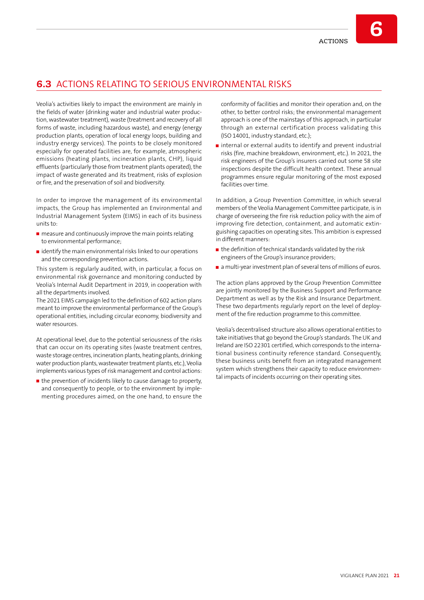**6**

## **6.3** ACTIONS RELATING TO SERIOUS ENVIRONMENTAL RISKS

Veolia's activities likely to impact the environment are mainly in the fields of water (drinking water and industrial water production, wastewater treatment), waste (treatment and recovery of all forms of waste, including hazardous waste), and energy (energy production plants, operation of local energy loops, building and industry energy services). The points to be closely monitored especially for operated facilities are, for example, atmospheric emissions (heating plants, incineration plants, CHP), liquid effluents (particularly those from treatment plants operated), the impact of waste generated and its treatment, risks of explosion or fire, and the preservation of soil and biodiversity.

In order to improve the management of its environmental impacts, the Group has implemented an Environmental and Industrial Management System (EIMS) in each of its business units to:

- $\blacksquare$  measure and continuously improve the main points relating to environmental performance;
- $\blacksquare$  identify the main environmental risks linked to our operations and the corresponding prevention actions.

This system is regularly audited, with, in particular, a focus on environmental risk governance and monitoring conducted by Veolia's Internal Audit Department in 2019, in cooperation with all the departments involved.

The 2021 EIMS campaign led to the definition of 602 action plans meant to improve the environmental performance of the Group's operational entities, including circular economy, biodiversity and water resources.

At operational level, due to the potential seriousness of the risks that can occur on its operating sites (waste treatment centres, waste storage centres, incineration plants, heating plants, drinking water production plants, wastewater treatment plants, etc.), Veolia implements various types of risk management and control actions:

 $\blacksquare$  the prevention of incidents likely to cause damage to property, and consequently to people, or to the environment by implementing procedures aimed, on the one hand, to ensure the

conformity of facilities and monitor their operation and, on the other, to better control risks; the environmental management approach is one of the mainstays of this approach, in particular through an external certification process validating this (ISO 14001, industry standard, etc.);

 $\blacksquare$  internal or external audits to identify and prevent industrial risks (fire, machine breakdown, environment, etc.). In 2021, the risk engineers of the Group's insurers carried out some 58 site inspections despite the difficult health context. These annual programmes ensure regular monitoring of the most exposed facilities over time.

In addition, a Group Prevention Committee, in which several members of the Veolia Management Committee participate, is in charge of overseeing the fire risk reduction policy with the aim of improving fire detection, containment, and automatic extinguishing capacities on operating sites. This ambition is expressed in different manners:

- $\blacksquare$  the definition of technical standards validated by the risk engineers of the Group's insurance providers;
- a multi-year investment plan of several tens of millions of euros.

The action plans approved by the Group Prevention Committee are jointly monitored by the Business Support and Performance Department as well as by the Risk and Insurance Department. These two departments regularly report on the level of deployment of the fire reduction programme to this committee.

Veolia's decentralised structure also allows operational entities to take initiatives that go beyond the Group's standards. The UK and Ireland are ISO 22301 certified, which corresponds to the international business continuity reference standard. Consequently, these business units benefit from an integrated management system which strengthens their capacity to reduce environmental impacts of incidents occurring on their operating sites.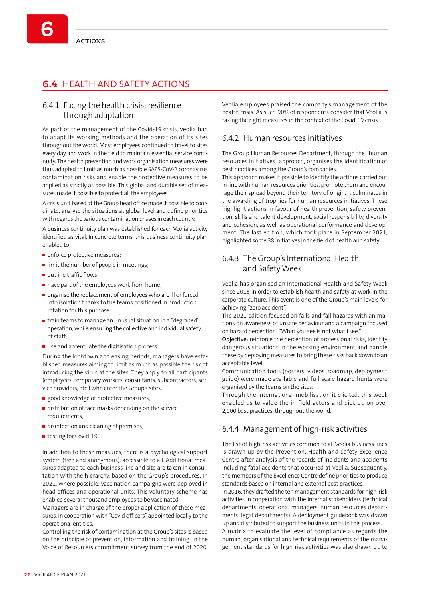# **6.4** HEALTH AND SAFETY ACTIONS

### 6.4.1 Facing the health crisis: resilience through adaptation

As part of the management of the Covid-19 crisis, Veolia had to adapt its working methods and the operation of its sites throughout the world. Most employees continued to travel to sites every day and work in the field to maintain essential service continuity. The health prevention and work organisation measures were thus adapted to limit as much as possible SARS-CoV-2 coronavirus contamination risks and enable the protective measures to be applied as strictly as possible. This global and durable set of measures made it possible to protect all the employees.

A crisis unit based at the Group head office made it possible to coordinate, analyse the situations at global level and define priorities with regards the various contamination phases in each country.

A business continuity plan was established for each Veolia activity identified as vital. In concrete terms, this business continuity plan enabled to:

- enforce protective measures;
- I limit the number of people in meetings;
- outline traffic flows;
- have part of the employees work from home;
- organise the replacement of employees who are ill or forced into isolation thanks to the teams positioned in production rotation for this purpose;
- **T** train teams to manage an unusual situation in a "degraded" operation, while ensuring the collective and individual safety of staff;
- use and accentuate the digitisation process.

During the lockdown and easing periods, managers have established measures aiming to limit as much as possible the risk of introducing the virus at the sites. They apply to all participants (employees, temporary workers, consultants, subcontractors, service providers, etc.) who enter the Group's sites:

- good knowledge of protective measures;
- distribution of face masks depending on the service requirements;
- disinfection and cleaning of premises:
- testing for Covid-19.

In addition to these measures, there is a psychological support system (free and anonymous), accessible to all. Additional measures adapted to each business line and site are taken in consultation with the hierarchy, based on the Group's procedures. In 2021, where possible, vaccination campaigns were deployed in head offices and operational units. This voluntary scheme has enabled several thousand employees to be vaccinated.

Managers are in charge of the proper application of these measures, in cooperation with "Covid officers" appointed locally to the operational entities.

Controlling the risk of contamination at the Group's sites is based on the principle of prevention, information and training. In the Voice of Resourcers commitment survey from the end of 2020, Veolia employees praised the company's management of the health crisis. As such 90% of respondents consider that Veolia is taking the right measures in the context of the Covid-19 crisis.

### 6.4.2 Human resources initiatives

The Group Human Resources Department, through the "human resources initiatives" approach, organises the identification of best practices among the Group's companies.

This approach makes it possible to identify the actions carried out in line with human resources priorities, promote them and encourage their spread beyond their territory of origin. It culminates in the awarding of trophies for human resources initiatives. These highlight actions in favour of health prevention, safety prevention, skills and talent development, social responsibility, diversity and cohesion, as well as operational performance and development. The last edition, which took place in September 2021, highlighted some 38 initiatives in the field of health and safety.

### 6.4.3 The Group's International Health and Safety Week

Veolia has organised an International Health and Safety Week since 2015 in order to establish health and safety at work in the corporate culture. This event is one of the Group's main levers for achieving "zero accident".

The 2021 edition focused on falls and fall hazards with animations on awareness of unsafe behaviour and a campaign focused on hazard perception: "What you see is not what I see.'

Objective: reinforce the perception of professional risks, identify dangerous situations in the working environment and handle these by deploying measures to bring these risks back down to an acceptable level.

Communication tools (posters, videos, roadmap, deployment guide) were made available and full-scale hazard hunts were organised by the teams on the sites.

Through the international mobilisation it elicited, this week enabled us to value the in-field actors and pick up on over 2,000 best practices, throughout the world.

### 6.4.4 Management of high-risk activities

The list of high-risk activities common to all Veolia business lines is drawn up by the Prevention, Health and Safety Excellence Centre after analysis of the records of incidents and accidents including fatal accidents that occurred at Veolia. Subsequently, the members of the Excellence Centre define priorities to produce standards based on internal and external best practices.

In 2016, they drafted the ten management standards for high-risk activities in cooperation with the internal stakeholders (technical departments, operational managers, human resources departments, legal departments). A deployment guidebook was drawn up and distributed to support the business units in this process.

A matrix to evaluate the level of compliance as regards the human, organisational and technical requirements of the management standards for high-risk activities was also drawn up to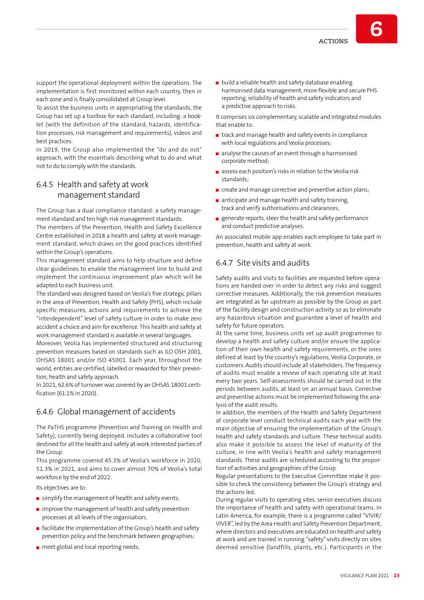**6**

To assist the business units in appropriating the standards, the Group has set up a toolbox for each standard, including: a booklet (with the definition of the standard, hazards, identification processes, risk management and requirements), videos and best practices.

In 2019, the Group also implemented the "do and do not" approach, with the essentials describing what to do and what not to do to comply with the standards.

### 6.4.5 Health and safety at work management standard

The Group has a dual compliance standard: a safety management standard and ten high-risk management standards.

The members of the Prevention, Health and Safety Excellence Centre established in 2018 a health and safety at work management standard, which draws on the good practices identified within the Group's operations.

This management standard aims to help structure and define clear guidelines to enable the management line to build and implement the continuous improvement plan which will be adapted to each business unit.

The standard was designed based on Veolia's five strategic pillars in the area of Prevention, Health and Safety (PHS), which include specific measures, actions and requirements to achieve the "interdependent" level of safety culture in order to make zero accident a choice and aim for excellence. This health and safety at work management standard is available in several languages.

Moreover, Veolia has implemented structured and structuring prevention measures based on standards such as ILO OSH 2001, OHSAS 18001 and/or ISO 45001. Each year, throughout the world, entities are certified, labelled or rewarded for their prevention, health and safety approach.

In 2021, 62.6% of turnover was covered by an OHSAS 18001 certification (61.1% in 2020).

### 6.4.6 Global management of accidents

The PaTHS programme (Prevention and Training on Health and Safety), currently being deployed, includes a collaborative tool destined for all the health and safety at work interested parties of the Group.

This programme covered 45.3% of Veolia's workforce in 2020, 51.3% in 2021, and aims to cover almost 70% of Veolia's total workforce by the end of 2022.

Its objectives are to:

- $\blacksquare$  simplify the management of health and safety events;
- $\blacksquare$  improve the management of health and safety prevention processes at all levels of the organisation;
- $\blacksquare$  facilitate the implementation of the Group's health and safety prevention policy and the benchmark between geographies;
- meet global and local reporting needs;

build a reliable health and safety database enabling harmonised data management, more flexible and secure PHS reporting, reliability of health and safety indicators and a predictive approach to risks.

It comprises six complementary, scalable and integrated modules that enable to:

- $\blacksquare$  track and manage health and safety events in compliance with local regulations and Veolia processes;
- analyse the causes of an event through a harmonised corporate method;
- assess each position's risks in relation to the Veolia risk standards;
- create and manage corrective and preventive action plans;
- $\blacksquare$  anticipate and manage health and safety training. track and verify authorisations and clearances;
- **E** generate reports, steer the health and safety performance and conduct predictive analyses.

An associated mobile app enables each employee to take part in prevention, health and safety at work.

### 6.4.7 Site visits and audits

Safety audits and visits to facilities are requested before operations are handed over in order to detect any risks and suggest corrective measures. Additionally, the risk prevention measures are integrated as far upstream as possible by the Group as part of the facility design and construction activity so as to eliminate any hazardous situation and guarantee a level of health and safety for future operators.

At the same time, business units set up audit programmes to develop a health and safety culture and/or ensure the application of their own health and safety requirements, or the ones defined at least by the country's regulations, Veolia Corporate, or customers. Audits should include all stakeholders. The frequency of audits must enable a review of each operating site at least every two years. Self-assessments should be carried out in the periods between audits, at least on an annual basis. Corrective and preventive actions must be implemented following the analysis of the audit results.

In addition, the members of the Health and Safety Department at corporate level conduct technical audits each year with the main objective of ensuring the implementation of the Group's health and safety standards and culture. These technical audits also make it possible to assess the level of maturity of the culture, in line with Veolia's health and safety management standards. These audits are scheduled according to the proportion of activities and geographies of the Group.

Regular presentations to the Executive Committee make it possible to check the consistency between the Group's strategy and the actions led.

During regular visits to operating sites, senior executives discuss the importance of health and safety with operational teams. In Latin America, for example, there is a programme called "VIVIR/ VIVER", led by the Area Health and Safety Prevention Department, where directors and executives are educated on health and safety at work and are trained in running "safety" visits directly on sites deemed sensitive (landfills, plants, etc.). Participants in the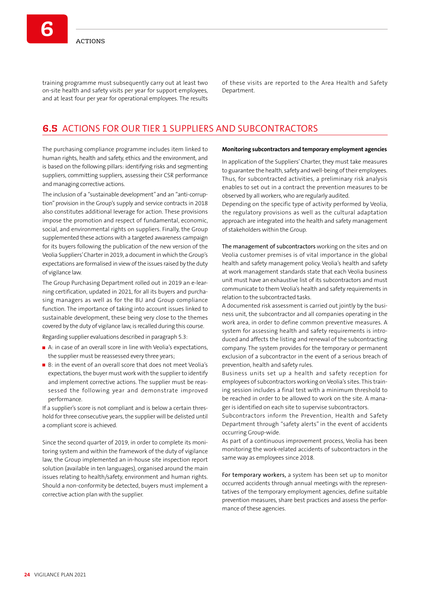training programme must subsequently carry out at least two on-site health and safety visits per year for support employees, and at least four per year for operational employees. The results

of these visits are reported to the Area Health and Safety Department.

### **6.5** ACTIONS FOR OUR TIER 1 SUPPLIERS AND SUBCONTRACTORS

The purchasing compliance programme includes item linked to human rights, health and safety, ethics and the environment, and is based on the following pillars: identifying risks and segmenting suppliers, committing suppliers, assessing their CSR performance and managing corrective actions.

The inclusion of a "sustainable development" and an "anti-corruption" provision in the Group's supply and service contracts in 2018 also constitutes additional leverage for action. These provisions impose the promotion and respect of fundamental, economic, social, and environmental rights on suppliers. Finally, the Group supplemented these actions with a targeted awareness campaign for its buyers following the publication of the new version of the Veolia Suppliers' Charter in 2019, a document in which the Group's expectations are formalised in view of the issues raised by the duty of vigilance law.

The Group Purchasing Department rolled out in 2019 an e-learning certification, updated in 2021, for all its buyers and purchasing managers as well as for the BU and Group compliance function. The importance of taking into account issues linked to sustainable development, these being very close to the themes covered by the duty of vigilance law, is recalled during this course.

Regarding supplier evaluations described in paragraph 5.3:

- A: in case of an overall score in line with Veolia's expectations, the supplier must be reassessed every three years;
- B: in the event of an overall score that does not meet Veolia's expectations, the buyer must work with the supplier to identify and implement corrective actions. The supplier must be reassessed the following year and demonstrate improved performance.

If a supplier's score is not compliant and is below a certain threshold for three consecutive years, the supplier will be delisted until a compliant score is achieved.

Since the second quarter of 2019, in order to complete its monitoring system and within the framework of the duty of vigilance law, the Group implemented an in-house site inspection report solution (available in ten languages), organised around the main issues relating to health/safety, environment and human rights. Should a non-conformity be detected, buyers must implement a corrective action plan with the supplier.

#### **Monitoring subcontractors and temporary employment agencies**

In application of the Suppliers' Charter, they must take measures to guarantee the health, safety and well-being of their employees. Thus, for subcontracted activities, a preliminary risk analysis enables to set out in a contract the prevention measures to be observed by all workers, who are regularly audited.

Depending on the specific type of activity performed by Veolia, the regulatory provisions as well as the cultural adaptation approach are integrated into the health and safety management of stakeholders within the Group.

The management of subcontractors working on the sites and on Veolia customer premises is of vital importance in the global health and safety management policy. Veolia's health and safety at work management standards state that each Veolia business unit must have an exhaustive list of its subcontractors and must communicate to them Veolia's health and safety requirements in relation to the subcontracted tasks.

A documented risk assessment is carried out jointly by the business unit, the subcontractor and all companies operating in the work area, in order to define common preventive measures. A system for assessing health and safety requirements is introduced and affects the listing and renewal of the subcontracting company. The system provides for the temporary or permanent exclusion of a subcontractor in the event of a serious breach of prevention, health and safety rules.

Business units set up a health and safety reception for employees of subcontractors working on Veolia's sites. This training session includes a final test with a minimum threshold to be reached in order to be allowed to work on the site. A manager is identified on each site to supervise subcontractors.

Subcontractors inform the Prevention, Health and Safety Department through "safety alerts" in the event of accidents occurring Group-wide.

As part of a continuous improvement process, Veolia has been monitoring the work-related accidents of subcontractors in the same way as employees since 2018.

For temporary workers, a system has been set up to monitor occurred accidents through annual meetings with the representatives of the temporary employment agencies, define suitable prevention measures, share best practices and assess the performance of these agencies.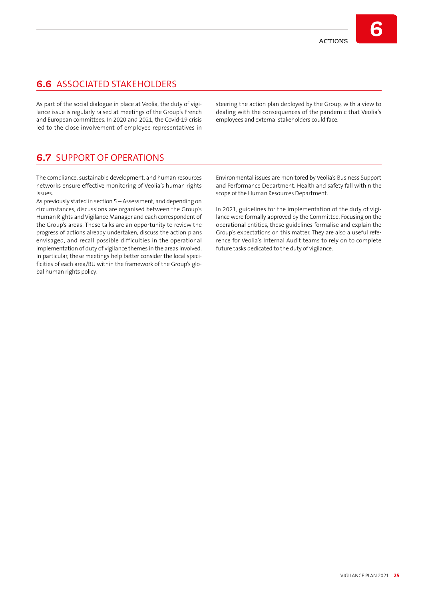# **6.6** ASSOCIATED STAKEHOLDERS

As part of the social dialogue in place at Veolia, the duty of vigilance issue is regularly raised at meetings of the Group's French and European committees. In 2020 and 2021, the Covid-19 crisis led to the close involvement of employee representatives in

steering the action plan deployed by the Group, with a view to dealing with the consequences of the pandemic that Veolia's employees and external stakeholders could face.

## **6.7** SUPPORT OF OPERATIONS

The compliance, sustainable development, and human resources networks ensure effective monitoring of Veolia's human rights issues.

As previously stated in section 5 – Assessment, and depending on circumstances, discussions are organised between the Group's Human Rights and Vigilance Manager and each correspondent of the Group's areas. These talks are an opportunity to review the progress of actions already undertaken, discuss the action plans envisaged, and recall possible difficulties in the operational implementation of duty of vigilance themes in the areas involved. In particular, these meetings help better consider the local specificities of each area/BU within the framework of the Group's global human rights policy.

Environmental issues are monitored by Veolia's Business Support and Performance Department. Health and safety fall within the scope of the Human Resources Department.

In 2021, guidelines for the implementation of the duty of vigilance were formally approved by the Committee. Focusing on the operational entities, these guidelines formalise and explain the Group's expectations on this matter. They are also a useful reference for Veolia's Internal Audit teams to rely on to complete future tasks dedicated to the duty of vigilance.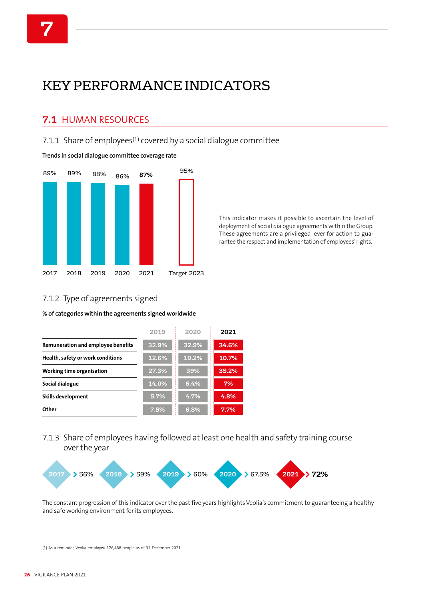# KEY PERFORMANCE INDICATORS

## **7.1** HUMAN RESOURCES

7.1.1 Share of employees $(1)$  covered by a social dialogue committee

**Trends in social dialogue committee coverage rate**



This indicator makes it possible to ascertain the level of deployment of social dialogue agreements within the Group. These agreements are a privileged lever for action to guarantee the respect and implementation of employees' rights.

## 7.1.2 Type of agreements signed

**% of categories within the agreements signed worldwide**

|                                    | 2019  | 2020  | 2021  |
|------------------------------------|-------|-------|-------|
| Remuneration and employee benefits | 32.9% | 32.9% | 34.6% |
| Health, safety or work conditions  | 12.6% | 10.2% | 10.7% |
| Working time organisation          | 27.3% | 39%   | 35.2% |
| Social dialogue                    | 14.0% | 6.4%  | 7%    |
| Skills development                 | 5.7%  | 4.7%  | 4.8%  |
| Other                              | 7.5%  | 6.8%  | 7.7%  |

### 7.1.3 Share of employees having followed at least one health and safety training course over the year



The constant progression of this indicator over the past five years highlights Veolia's commitment to guaranteeing a healthy and safe working environment for its employees.

(1) As a reminder, Veolia employed 176,488 people as of 31 December 2021.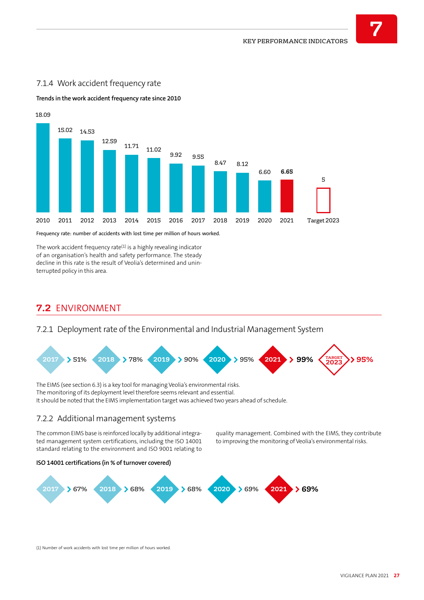

### 7.1.4 Work accident frequency rate

18.09

**Trends in the work accident frequency rate since 2010**

Frequency rate: number of accidents with lost time per million of hours worked.

The work accident frequency rate $(1)$  is a highly revealing indicator of an organisation's health and safety performance. The steady decline in this rate is the result of Veolia's determined and uninterrupted policy in this area.

## **7.2** ENVIRONMENT

### 7.2.1 Deployment rate of the Environmental and Industrial Management System



The EIMS (see section 6.3) is a key tool for managing Veolia's environmental risks. The monitoring of its deployment level therefore seems relevant and essential. It should be noted that the EIMS implementation target was achieved two years ahead of schedule.

### 7.2.2 Additional management systems

The common EIMS base is reinforced locally by additional integrated management system certifications, including the ISO 14001 standard relating to the environment and ISO 9001 relating to

quality management. Combined with the EIMS, they contribute to improving the monitoring of Veolia's environmental risks.





(1) Number of work accidents with lost time per million of hours worked.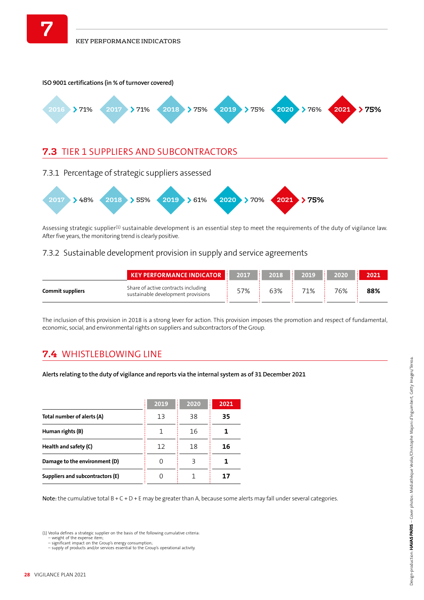

Assessing strategic supplier<sup>(1)</sup> sustainable development is an essential step to meet the requirements of the duty of vigilance law. After five years, the monitoring trend is clearly positive.

### 7.3.2 Sustainable development provision in supply and service agreements

|                         | KEY PERFORMANCE INDICATOR 2017 2018 2018 2019 2020                        |     |     |     |     | 2021 |
|-------------------------|---------------------------------------------------------------------------|-----|-----|-----|-----|------|
| <b>Commit suppliers</b> | Share of active contracts including<br>sustainable development provisions | 57% | 63% | 71% | 76% | 88%  |

The inclusion of this provision in 2018 is a strong lever for action. This provision imposes the promotion and respect of fundamental, economic, social, and environmental rights on suppliers and subcontractors of the Group.

# **7.4** WHISTLEBLOWING LINE

**Alerts relating to the duty of vigilance and reports via the internal system as of 31 December 2021**

|                                  | 2019 | 2020<br>٠<br>٠ | 2021 |
|----------------------------------|------|----------------|------|
| Total number of alerts (A)       | 13   | 38             | 35   |
| Human rights (B)                 |      | 16             |      |
| Health and safety (C)            | 12   | 18             | 16   |
| Damage to the environment (D)    | 0    | ξ              |      |
| Suppliers and subcontractors (E) |      |                | 17   |

Note: the cumulative total  $B + C + D + E$  may be greater than A, because some alerts may fall under several categories.

(1) Veolia defines a strategic supplier on the basis of the following cumulative criteria:

– weight of the expense item; – significant impact on the Group's energy consumption; – supply of products and/or services essential to the Group's operational activity.